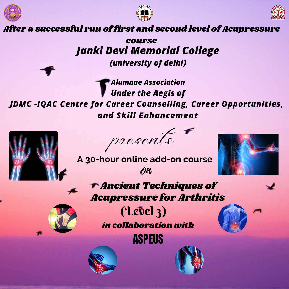





After a successful run of first and second level of Acupressure

*Janki Devi Memorial College (university of delhi)* course

*Alumnae Association Under the Aegis of JDMC -IQAC Centre for Career Counselling, Career Opportunities, and Skill Enhancement*





**A 30-hour online add-on course** An



Ancient Techniques of Acupressure for Arthritis



in collaboration with (Level 3)

ASPEUS





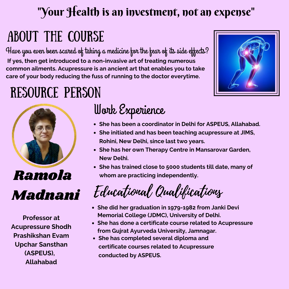#### "Your Health is an investment, not an expense"

## About the Course

Have you even been scared of taking a medicine for the fear of its side effects? **If yes, then get introduced to a non-invasive art of treating numerous common ailments. Acupressure is an ancient art that enables you to take care of your body reducing the fuss of running to the doctor everytime.**



## RESOURCE Person



**Professor at Acupressure Shodh Prashikshan Evam Upchar Sansthan (ASPEUS), Allahabad**

### Work Experience

- **She has been a coordinator in Delhi for ASPEUS, Allahabad.**
- **She initiated and has been teaching acupressure at JIMS, Rohini, New Delhi, since last two years.**
- **She has her own Therapy Centre in Mansarovar Garden, New Delhi.**
- **She has trained close to 5000 students till date, many of whom are practicing independently.**

Educational Qualifications

- **She did her graduation in 1979-1982 from Janki Devi Memorial College (JDMC), University of Delhi.**
- **She has done a certificate course related to Acupressure from Gujrat Ayurveda University, Jamnagar.**
- **She has completed several diploma and certificate courses related to Acupressure conducted by ASPEUS.**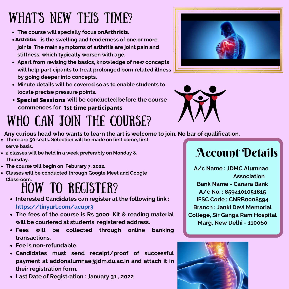# WHAT'S NEW THIS TIME?

- **The course will specially focus on Arthritis.**
- **is the swelling and tenderness of one or more** Arthtitis **joints. The main symptoms of arthritis are joint pain and stiffness, which typically worsen with age.**
- **Apart from revising the basics, knowledge of new concepts will help participants to treat prolonged born related illness by going deeper into concepts.**
- **Minute details will be covered so as to enable students to locate precise pressure points.**
- **will be conducted before the course Special Sessionscommences for 1st time participants**





## WHO CAN JOIN THE COURSE?

**Any curious head who wants to learn the art is welcome to join. No bar of qualification.**

- **There are 50 seats. Selection will be made on first come, first serve basis.**
- **2 classes will be held in a week preferably on Monday & Thursday.**
- **The course will begin on Feburary 7, 2022.**
- **Classes will be conducted through Google Meet and Google Classroom.**

### HOW TO REGISTER?

- **Interested Candidates can register at the following link : https://tinyurl.com/acupr3**
- **The fees of the course is Rs 3000. Kit & reading material will be couriered at students' registered address.**
- **Fees will be collected through online banking transactions.**
- **Fee is non-refundable.**
- **Candidates must send receipt/proof of successful payment at addonalumnae@jdm.du.ac.in and attach it in their registration form.**
- **Last Date of Registration : January 31 , 2022**

### Account Details

**A/c Name : JDMC Alumnae Association Bank Name - Canara Bank A/c No. : 8594101051815 IFSC Code : CNRB0008594 Branch : Janki Devi Memorial College, Sir Ganga Ram Hospital Marg, New Delhi - 110060**